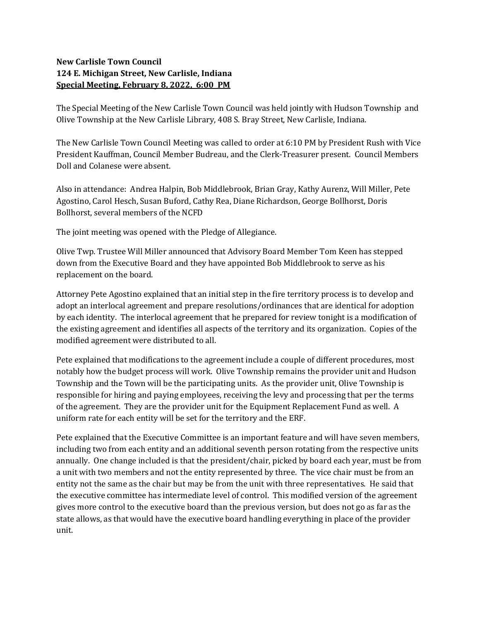## New Carlisle Town Council 124 E. Michigan Street, New Carlisle, Indiana Special Meeting, February 8, 2022, 6:00 PM

The Special Meeting of the New Carlisle Town Council was held jointly with Hudson Township and Olive Township at the New Carlisle Library, 408 S. Bray Street, New Carlisle, Indiana.

The New Carlisle Town Council Meeting was called to order at 6:10 PM by President Rush with Vice President Kauffman, Council Member Budreau, and the Clerk-Treasurer present. Council Members Doll and Colanese were absent.

Also in attendance: Andrea Halpin, Bob Middlebrook, Brian Gray, Kathy Aurenz, Will Miller, Pete Agostino, Carol Hesch, Susan Buford, Cathy Rea, Diane Richardson, George Bollhorst, Doris Bollhorst, several members of the NCFD

The joint meeting was opened with the Pledge of Allegiance.

Olive Twp. Trustee Will Miller announced that Advisory Board Member Tom Keen has stepped down from the Executive Board and they have appointed Bob Middlebrook to serve as his replacement on the board.

Attorney Pete Agostino explained that an initial step in the fire territory process is to develop and adopt an interlocal agreement and prepare resolutions/ordinances that are identical for adoption by each identity. The interlocal agreement that he prepared for review tonight is a modification of the existing agreement and identifies all aspects of the territory and its organization. Copies of the modified agreement were distributed to all.

Pete explained that modifications to the agreement include a couple of different procedures, most notably how the budget process will work. Olive Township remains the provider unit and Hudson Township and the Town will be the participating units. As the provider unit, Olive Township is responsible for hiring and paying employees, receiving the levy and processing that per the terms of the agreement. They are the provider unit for the Equipment Replacement Fund as well. A uniform rate for each entity will be set for the territory and the ERF.

Pete explained that the Executive Committee is an important feature and will have seven members, including two from each entity and an additional seventh person rotating from the respective units annually. One change included is that the president/chair, picked by board each year, must be from a unit with two members and not the entity represented by three. The vice chair must be from an entity not the same as the chair but may be from the unit with three representatives. He said that the executive committee has intermediate level of control. This modified version of the agreement gives more control to the executive board than the previous version, but does not go as far as the state allows, as that would have the executive board handling everything in place of the provider unit.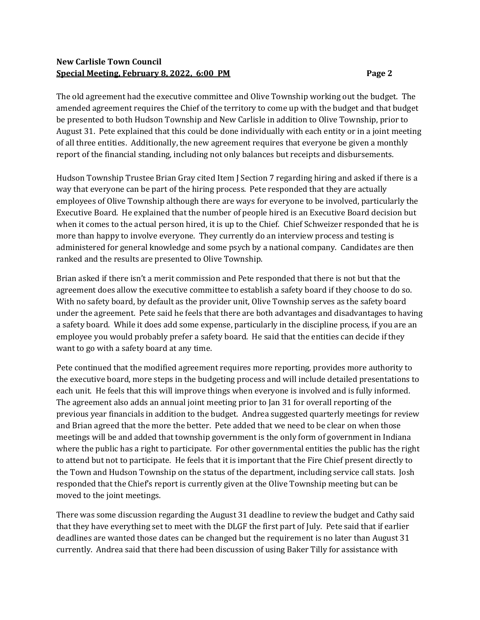## New Carlisle Town Council Special Meeting, February 8, 2022, 6:00 PM

The old agreement had the executive committee and Olive Township working out the budget. The amended agreement requires the Chief of the territory to come up with the budget and that budget be presented to both Hudson Township and New Carlisle in addition to Olive Township, prior to August 31. Pete explained that this could be done individually with each entity or in a joint meeting of all three entities. Additionally, the new agreement requires that everyone be given a monthly report of the financial standing, including not only balances but receipts and disbursements.

Hudson Township Trustee Brian Gray cited Item J Section 7 regarding hiring and asked if there is a way that everyone can be part of the hiring process. Pete responded that they are actually employees of Olive Township although there are ways for everyone to be involved, particularly the Executive Board. He explained that the number of people hired is an Executive Board decision but when it comes to the actual person hired, it is up to the Chief. Chief Schweizer responded that he is more than happy to involve everyone. They currently do an interview process and testing is administered for general knowledge and some psych by a national company. Candidates are then ranked and the results are presented to Olive Township.

Brian asked if there isn't a merit commission and Pete responded that there is not but that the agreement does allow the executive committee to establish a safety board if they choose to do so. With no safety board, by default as the provider unit, Olive Township serves as the safety board under the agreement. Pete said he feels that there are both advantages and disadvantages to having a safety board. While it does add some expense, particularly in the discipline process, if you are an employee you would probably prefer a safety board. He said that the entities can decide if they want to go with a safety board at any time.

Pete continued that the modified agreement requires more reporting, provides more authority to the executive board, more steps in the budgeting process and will include detailed presentations to each unit. He feels that this will improve things when everyone is involved and is fully informed. The agreement also adds an annual joint meeting prior to Jan 31 for overall reporting of the previous year financials in addition to the budget. Andrea suggested quarterly meetings for review and Brian agreed that the more the better. Pete added that we need to be clear on when those meetings will be and added that township government is the only form of government in Indiana where the public has a right to participate. For other governmental entities the public has the right to attend but not to participate. He feels that it is important that the Fire Chief present directly to the Town and Hudson Township on the status of the department, including service call stats. Josh responded that the Chief's report is currently given at the Olive Township meeting but can be moved to the joint meetings.

There was some discussion regarding the August 31 deadline to review the budget and Cathy said that they have everything set to meet with the DLGF the first part of July. Pete said that if earlier deadlines are wanted those dates can be changed but the requirement is no later than August 31 currently. Andrea said that there had been discussion of using Baker Tilly for assistance with